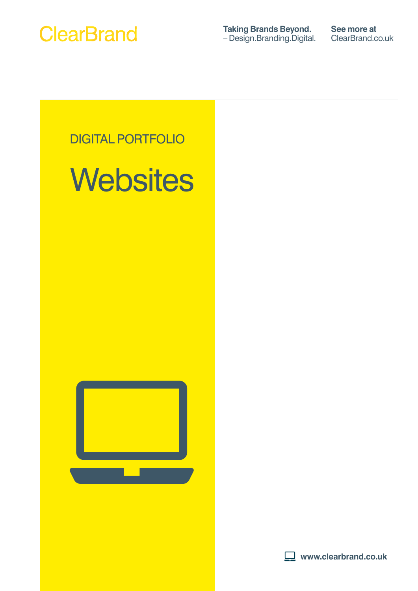

**Taking Brands Beyond.** – [Design.Branding.Digital.](Design.Branding.Digital) **See more at** ClearBrand.co.uk



# **Websites**



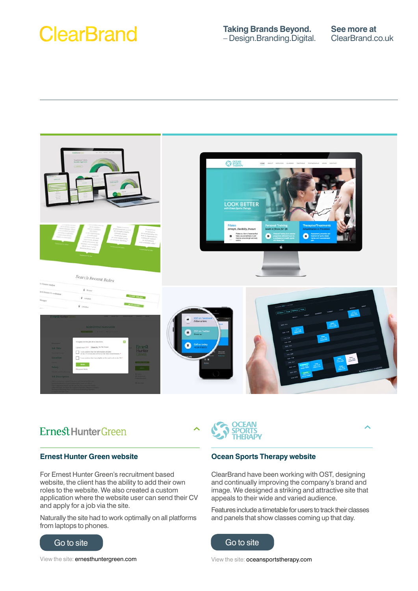## **Taking Brands Beyond.** – [Design.Branding.Digital.](Design.Branding.Digital)



## Ernest Hunter Green

## **Ernest Hunter Green website**

For Ernest Hunter Green's recruitment based website, the client has the ability to add their own roles to the website. We also created a custom application where the website user can send their CV and apply for a job via the site.

Naturally the site had to work optimally on all platforms from laptops to phones.





### **Ocean Sports Therapy website**

ClearBrand have been working with OST, designing and continually improving the company's brand and image. We designed a striking and attractive site that appeals to their wide and varied audience.

Features include a timetable for users to track their classes and panels that show classes coming up that day.



View the site: oceansportstherapy.com

View the site: ernesthuntergreen.com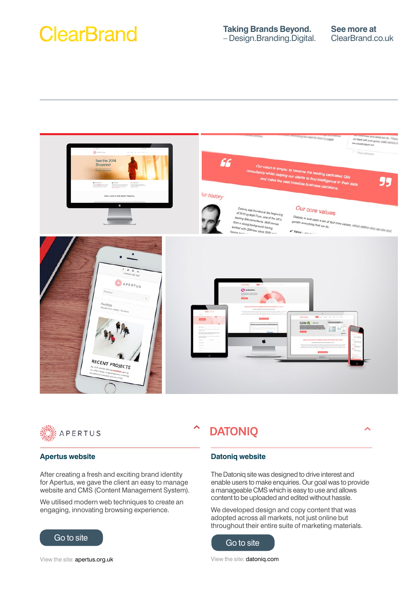



#### **Apertus website**

After creating a fresh and exciting brand identity for Apertus, we gave the client an easy to manage website and CMS (Content Management System).

We utilised modern web techniques to create an engaging, innovating browsing experience.



## **DATONIQ**

## $\overline{\phantom{a}}$

#### **Datoniq website**

The Datoniq site was designed to drive interest and enable users to make enquiries. Our goal was to provide a manageable CMS which is easy to use and allows content to be uploaded and edited without hassle.

We developed design and copy content that was adopted across all markets, not just online but throughout their entire suite of marketing materials.



View the site: datoniq.com

View the site: apertus.org.uk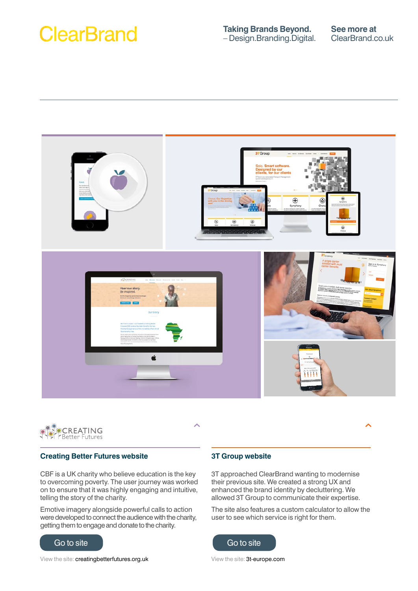



### **Creating Better Futures website**

CBF is a UK charity who believe education is the key to overcoming poverty. The user journey was worked on to ensure that it was highly engaging and intuitive, telling the story of the charity.

Emotive imagery alongside powerful calls to action were developed to connect the audience with the charity, getting them to engage and donate to the charity.



View the site: creatingbetterfutures.org.uk

### **3T Group website**

3T approached ClearBrand wanting to modernise their previous site. We created a strong UX and enhanced the brand identity by decluttering. We allowed 3T Group to communicate their expertise.

The site also features a custom calculator to allow the user to see which service is right for them.



View the site: 3t-europe.com